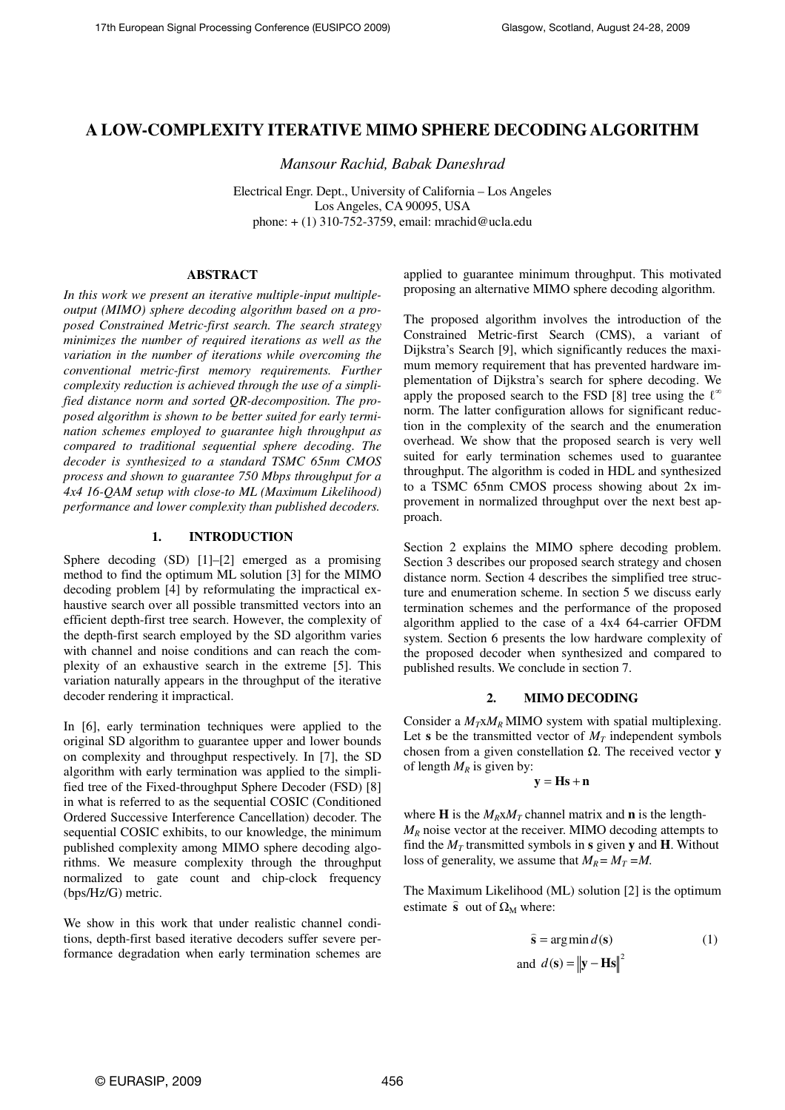# **A LOW-COMPLEXITY ITERATIVE MIMO SPHERE DECODING ALGORITHM**

*Mansour Rachid, Babak Daneshrad* 

Electrical Engr. Dept., University of California – Los Angeles Los Angeles, CA 90095, USA phone: + (1) 310-752-3759, email: mrachid@ucla.edu

### **ABSTRACT**

*In this work we present an iterative multiple-input multipleoutput (MIMO) sphere decoding algorithm based on a proposed Constrained Metric-first search. The search strategy minimizes the number of required iterations as well as the variation in the number of iterations while overcoming the conventional metric-first memory requirements. Further complexity reduction is achieved through the use of a simplified distance norm and sorted QR-decomposition. The proposed algorithm is shown to be better suited for early termination schemes employed to guarantee high throughput as compared to traditional sequential sphere decoding. The decoder is synthesized to a standard TSMC 65nm CMOS process and shown to guarantee 750 Mbps throughput for a 4x4 16-QAM setup with close-to ML (Maximum Likelihood) performance and lower complexity than published decoders.* 

### **1. INTRODUCTION**

Sphere decoding (SD) [1]–[2] emerged as a promising method to find the optimum ML solution [3] for the MIMO decoding problem [4] by reformulating the impractical exhaustive search over all possible transmitted vectors into an efficient depth-first tree search. However, the complexity of the depth-first search employed by the SD algorithm varies with channel and noise conditions and can reach the complexity of an exhaustive search in the extreme [5]. This variation naturally appears in the throughput of the iterative decoder rendering it impractical.

In [6], early termination techniques were applied to the original SD algorithm to guarantee upper and lower bounds on complexity and throughput respectively. In [7], the SD algorithm with early termination was applied to the simplified tree of the Fixed-throughput Sphere Decoder (FSD) [8] in what is referred to as the sequential COSIC (Conditioned Ordered Successive Interference Cancellation) decoder. The sequential COSIC exhibits, to our knowledge, the minimum published complexity among MIMO sphere decoding algorithms. We measure complexity through the throughput normalized to gate count and chip-clock frequency (bps/Hz/G) metric.

We show in this work that under realistic channel conditions, depth-first based iterative decoders suffer severe performance degradation when early termination schemes are applied to guarantee minimum throughput. This motivated proposing an alternative MIMO sphere decoding algorithm.

The proposed algorithm involves the introduction of the Constrained Metric-first Search (CMS), a variant of Dijkstra's Search [9], which significantly reduces the maximum memory requirement that has prevented hardware implementation of Dijkstra's search for sphere decoding. We apply the proposed search to the FSD [8] tree using the  $\ell^{\infty}$ norm. The latter configuration allows for significant reduction in the complexity of the search and the enumeration overhead. We show that the proposed search is very well suited for early termination schemes used to guarantee throughput. The algorithm is coded in HDL and synthesized to a TSMC 65nm CMOS process showing about 2x improvement in normalized throughput over the next best approach.

Section 2 explains the MIMO sphere decoding problem. Section 3 describes our proposed search strategy and chosen distance norm. Section 4 describes the simplified tree structure and enumeration scheme. In section 5 we discuss early termination schemes and the performance of the proposed algorithm applied to the case of a 4x4 64-carrier OFDM system. Section 6 presents the low hardware complexity of the proposed decoder when synthesized and compared to published results. We conclude in section 7.

#### **2. MIMO DECODING**

Consider a  $M_T x M_R$  MIMO system with spatial multiplexing. Let **s** be the transmitted vector of  $M_T$  independent symbols chosen from a given constellation Ω. The received vector **y** of length  $M_R$  is given by:

$$
\mathbf{y} = \mathbf{H}\mathbf{s} + \mathbf{n}
$$

where **H** is the  $M_R x M_T$  channel matrix and **n** is the length- $M_R$  noise vector at the receiver. MIMO decoding attempts to find the  $M_T$  transmitted symbols in **s** given **y** and **H**. Without loss of generality, we assume that  $M_R = M_T = M$ .

The Maximum Likelihood (ML) solution [2] is the optimum ) estimate  $\hat{\mathbf{s}}$  out of  $\Omega_M$  where:

$$
\hat{\mathbf{s}} = \arg \min d(\mathbf{s})
$$
 (1)  
and  $d(\mathbf{s}) = ||\mathbf{y} - \mathbf{H}\mathbf{s}||^2$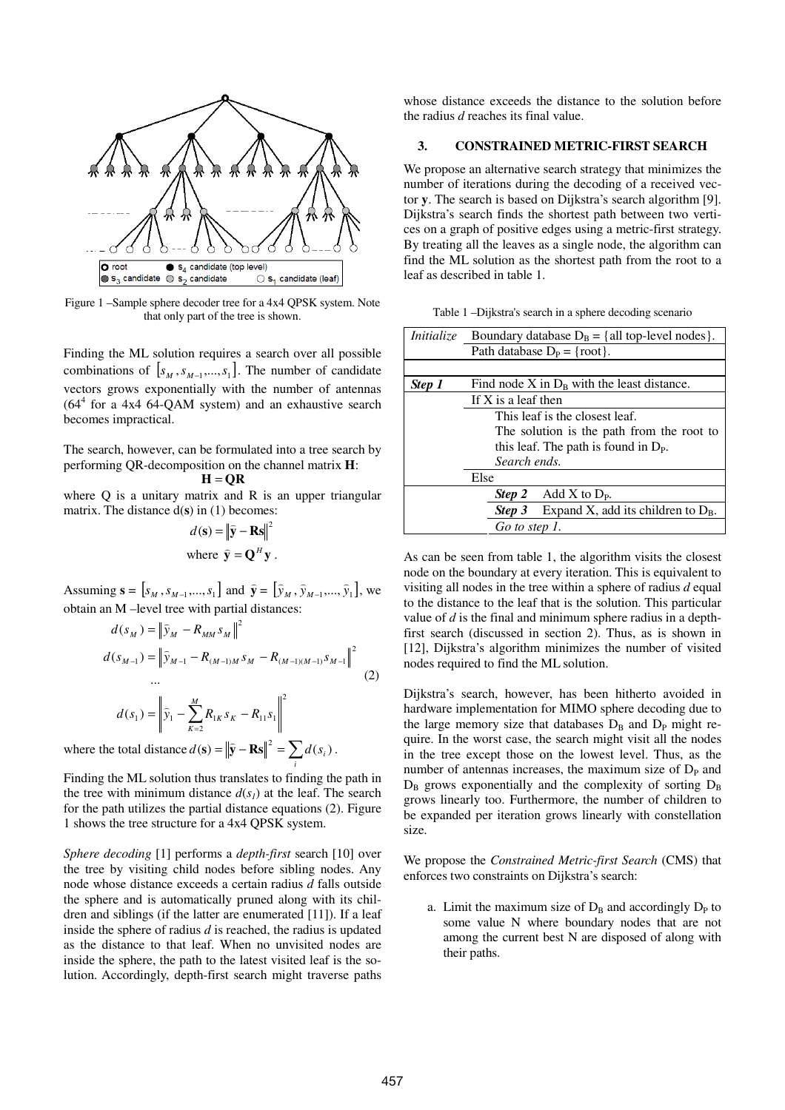

Figure 1 –Sample sphere decoder tree for a 4x4 QPSK system. Note that only part of the tree is shown.

Finding the ML solution requires a search over all possible combinations of  $[s_M, s_{M-1},...,s_1]$ . The number of candidate vectors grows exponentially with the number of antennas (64<sup>4</sup> for a 4x4 64-QAM system) and an exhaustive search becomes impractical.

The search, however, can be formulated into a tree search by performing QR-decomposition on the channel matrix **H**:

 $H = OR$ 

where Q is a unitary matrix and R is an upper triangular matrix. The distance d(**s**) in (1) becomes:<br> $d(\mathbf{s}) = ||\hat{\mathbf{y}} - \mathbf{R}\mathbf{s}||^2$ 

$$
d(\mathbf{s}) = ||\hat{\mathbf{y}} - \mathbf{R}\mathbf{s}||^2
$$
  
where  $\hat{\mathbf{y}} = \mathbf{Q}^H \mathbf{y}$ .

Assuming  $\mathbf{s} = [s_M, s_{M-1},...,s_1]$  and  $\hat{\mathbf{y}}$  $\overline{a}$  $= [\hat{y}_M, \hat{y}_{M-1}, ..., \hat{y}_1],$ ) ) )  $_{-1}$ ,...,  $\hat{y}_1$ , we obtain an M –level tree with partial distances:

$$
d(s_M) = \left\| \hat{y}_M - R_{MM} s_M \right\|^2
$$
  
\n
$$
d(s_{M-1}) = \left\| \hat{y}_{M-1} - R_{(M-1)M} s_M - R_{(M-1)(M-1)} s_{M-1} \right\|^2
$$
  
\n...  
\n
$$
d(s_1) = \left\| \hat{y}_1 - \sum_{K=2}^M R_{1K} s_K - R_{11} s_1 \right\|^2
$$
\n(2)

where the total distance  $d(\mathbf{s}) = ||\hat{\mathbf{y}} - \mathbf{Rs}||^2 = \sum_i d(s_i)$ .

Finding the ML solution thus translates to finding the path in the tree with minimum distance  $d(s<sub>l</sub>)$  at the leaf. The search for the path utilizes the partial distance equations (2). Figure 1 shows the tree structure for a 4x4 QPSK system.

*Sphere decoding* [1] performs a *depth-first* search [10] over the tree by visiting child nodes before sibling nodes. Any node whose distance exceeds a certain radius *d* falls outside the sphere and is automatically pruned along with its children and siblings (if the latter are enumerated [11]). If a leaf inside the sphere of radius *d* is reached, the radius is updated as the distance to that leaf. When no unvisited nodes are inside the sphere, the path to the latest visited leaf is the solution. Accordingly, depth-first search might traverse paths whose distance exceeds the distance to the solution before the radius *d* reaches its final value.

# **3. CONSTRAINED METRIC-FIRST SEARCH**

We propose an alternative search strategy that minimizes the number of iterations during the decoding of a received vector **y**. The search is based on Dijkstra's search algorithm [9]. Dijkstra's search finds the shortest path between two vertices on a graph of positive edges using a metric-first strategy. By treating all the leaves as a single node, the algorithm can find the ML solution as the shortest path from the root to a leaf as described in table 1.

Table 1 –Dijkstra's search in a sphere decoding scenario

|        | <i>Initialize</i> Boundary database $D_B = \{all \text{ top-level nodes}\}.$ |  |  |  |
|--------|------------------------------------------------------------------------------|--|--|--|
|        | Path database $D_P = \{root\}$ .                                             |  |  |  |
|        |                                                                              |  |  |  |
| Step 1 | Find node $X$ in $D_B$ with the least distance.                              |  |  |  |
|        | If $X$ is a leaf then                                                        |  |  |  |
|        | This leaf is the closest leaf.                                               |  |  |  |
|        | The solution is the path from the root to                                    |  |  |  |
|        | this leaf. The path is found in $D_{P}$ .                                    |  |  |  |
|        | Search ends.                                                                 |  |  |  |
|        | Else                                                                         |  |  |  |
|        | Add X to $D_{P}$ .<br>Step 2                                                 |  |  |  |
|        | Expand X, add its children to $D_B$ .<br>Step 3                              |  |  |  |
|        | Go to step 1.                                                                |  |  |  |

As can be seen from table 1, the algorithm visits the closest node on the boundary at every iteration. This is equivalent to visiting all nodes in the tree within a sphere of radius *d* equal to the distance to the leaf that is the solution. This particular value of *d* is the final and minimum sphere radius in a depthfirst search (discussed in section 2). Thus, as is shown in [12], Dijkstra's algorithm minimizes the number of visited nodes required to find the ML solution.

Dijkstra's search, however, has been hitherto avoided in hardware implementation for MIMO sphere decoding due to the large memory size that databases  $D_B$  and  $D_P$  might require. In the worst case, the search might visit all the nodes in the tree except those on the lowest level. Thus, as the number of antennas increases, the maximum size of  $D<sub>P</sub>$  and  $D_B$  grows exponentially and the complexity of sorting  $D_B$ grows linearly too. Furthermore, the number of children to be expanded per iteration grows linearly with constellation size.

We propose the *Constrained Metric-first Search* (CMS) that enforces two constraints on Dijkstra's search:

a. Limit the maximum size of  $D_B$  and accordingly  $D_P$  to some value N where boundary nodes that are not among the current best N are disposed of along with their paths.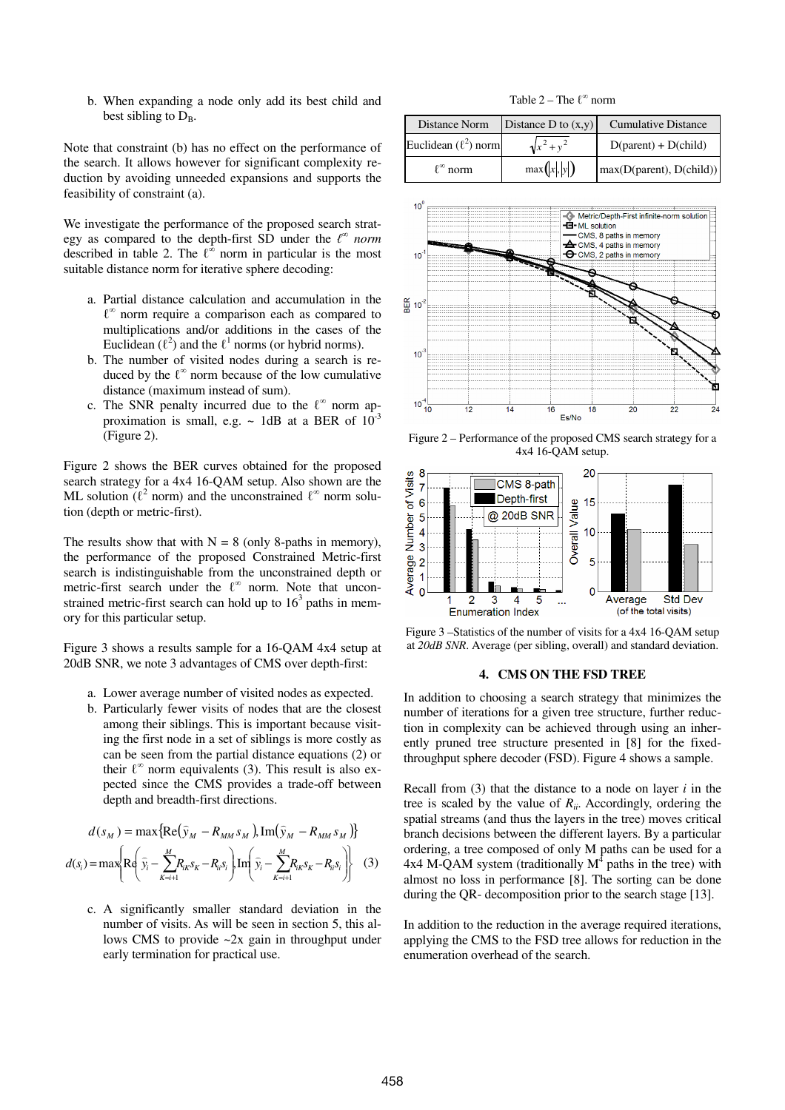b. When expanding a node only add its best child and best sibling to  $D_B$ .

Note that constraint (b) has no effect on the performance of the search. It allows however for significant complexity reduction by avoiding unneeded expansions and supports the feasibility of constraint (a).

We investigate the performance of the proposed search strategy as compared to the depth-first SD under the  $\ell^{\infty}$  norm described in table 2. The  $\ell^{\dot{\infty}}$  norm in particular is the most suitable distance norm for iterative sphere decoding:

- a. Partial distance calculation and accumulation in the  $\ell^{\infty}$  norm require a comparison each as compared to multiplications and/or additions in the cases of the Euclidean  $(\ell^2)$  and the  $\ell^1$  norms (or hybrid norms).
- b. The number of visited nodes during a search is reduced by the  $\ell^{\infty}$  norm because of the low cumulative distance (maximum instead of sum).
- c. The SNR penalty incurred due to the  $\ell^{\infty}$  norm approximation is small, e.g.  $\sim$  1dB at a BER of  $10^{-3}$ (Figure 2).

Figure 2 shows the BER curves obtained for the proposed search strategy for a 4x4 16-QAM setup. Also shown are the ML solution ( $\ell^2$  norm) and the unconstrained  $\ell^{\infty}$  norm solution (depth or metric-first).

The results show that with  $N = 8$  (only 8-paths in memory), the performance of the proposed Constrained Metric-first search is indistinguishable from the unconstrained depth or metric-first search under the  $\ell^{\infty}$  norm. Note that unconstrained metric-first search can hold up to  $16<sup>3</sup>$  paths in memory for this particular setup.

Figure 3 shows a results sample for a 16-QAM 4x4 setup at 20dB SNR, we note 3 advantages of CMS over depth-first:

- a. Lower average number of visited nodes as expected.
- b. Particularly fewer visits of nodes that are the closest among their siblings. This is important because visiting the first node in a set of siblings is more costly as can be seen from the partial distance equations (2) or their  $\ell^{\infty}$  norm equivalents (3). This result is also expected since the CMS provides a trade-off between depth and breadth-first directions.

$$
d(s_M) = \max \{ \text{Re}(\widehat{y}_M - R_{MM} s_M), \text{Im}(\widehat{y}_M - R_{MM} s_M) \}
$$

$$
d(s_i) = \max \left\{ \text{Re}(\widehat{y}_i - \sum_{K=i+1}^{M} R_{K} s_K - R_{i} s_i) \right\} \text{Im}(\widehat{y}_i - \sum_{K=i+1}^{M} R_{K} s_K - R_{i} s_i) \right\} \tag{3}
$$

c. A significantly smaller standard deviation in the number of visits. As will be seen in section 5, this allows CMS to provide  $\sim$ 2x gain in throughput under early termination for practical use.

Table  $2$  – The  $\ell^{\infty}$  norm

| Distance Norm             | Distance D to $(x,y)$ | <b>Cumulative Distance</b> |  |
|---------------------------|-----------------------|----------------------------|--|
| Euclidean $(\ell^2)$ norm | $\sqrt{x^2+y^2}$      | $D(parent) + D(child)$     |  |
| $\ell^{\infty}$ norm      | max( x , y )          | max(D(parent), D(child))   |  |



Figure 2 – Performance of the proposed CMS search strategy for a 4x4 16-QAM setup.



Figure 3 –Statistics of the number of visits for a 4x4 16-QAM setup at *20dB SNR*. Average (per sibling, overall) and standard deviation.

#### **4. CMS ON THE FSD TREE**

In addition to choosing a search strategy that minimizes the number of iterations for a given tree structure, further reduction in complexity can be achieved through using an inherently pruned tree structure presented in [8] for the fixedthroughput sphere decoder (FSD). Figure 4 shows a sample.

Recall from (3) that the distance to a node on layer *i* in the tree is scaled by the value of  $R_{ii}$ . Accordingly, ordering the spatial streams (and thus the layers in the tree) moves critical branch decisions between the different layers. By a particular ordering, a tree composed of only M paths can be used for a  $4x4$  M-QAM system (traditionally  $M^4$  paths in the tree) with almost no loss in performance [8]. The sorting can be done during the QR- decomposition prior to the search stage [13].

In addition to the reduction in the average required iterations, applying the CMS to the FSD tree allows for reduction in the enumeration overhead of the search.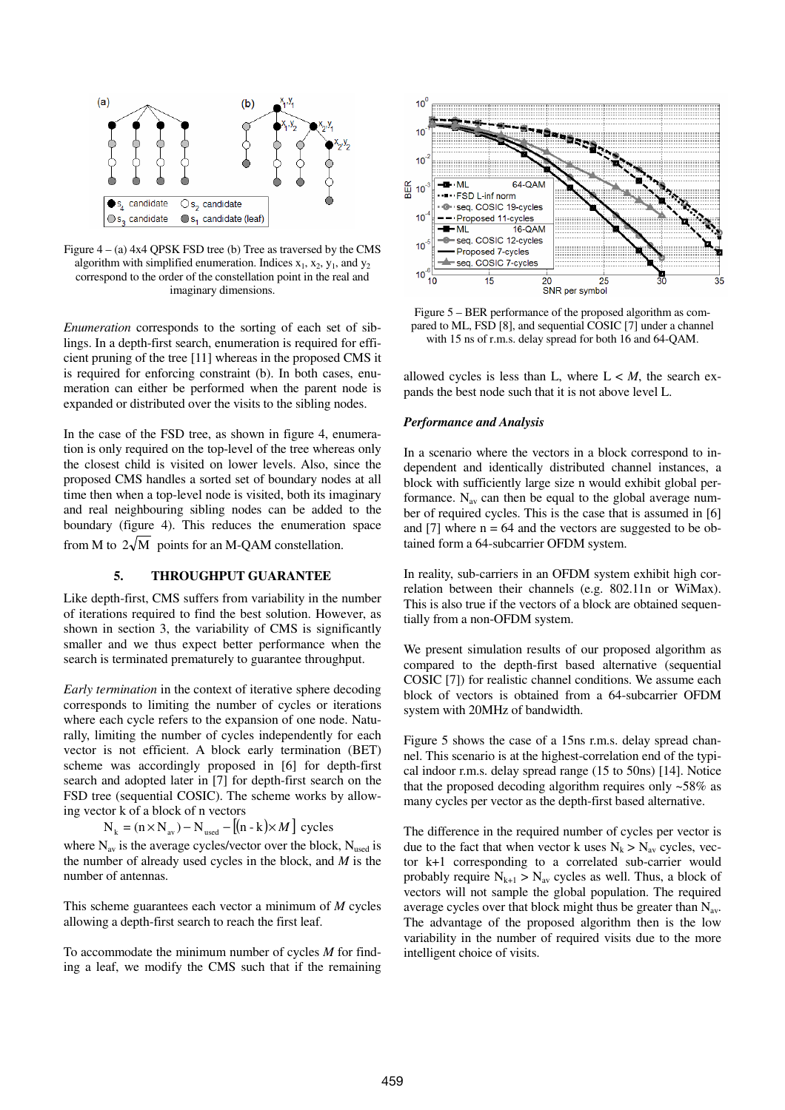

Figure 4 – (a) 4x4 QPSK FSD tree (b) Tree as traversed by the CMS algorithm with simplified enumeration. Indices  $x_1, x_2, y_1$ , and  $y_2$ correspond to the order of the constellation point in the real and imaginary dimensions.

*Enumeration* corresponds to the sorting of each set of siblings. In a depth-first search, enumeration is required for efficient pruning of the tree [11] whereas in the proposed CMS it is required for enforcing constraint (b). In both cases, enumeration can either be performed when the parent node is expanded or distributed over the visits to the sibling nodes.

In the case of the FSD tree, as shown in figure 4, enumeration is only required on the top-level of the tree whereas only the closest child is visited on lower levels. Also, since the proposed CMS handles a sorted set of boundary nodes at all time then when a top-level node is visited, both its imaginary and real neighbouring sibling nodes can be added to the boundary (figure 4). This reduces the enumeration space

from M to  $2\sqrt{M}$  points for an M-QAM constellation.

### **5. THROUGHPUT GUARANTEE**

Like depth-first, CMS suffers from variability in the number of iterations required to find the best solution. However, as shown in section 3, the variability of CMS is significantly smaller and we thus expect better performance when the search is terminated prematurely to guarantee throughput.

*Early termination* in the context of iterative sphere decoding corresponds to limiting the number of cycles or iterations where each cycle refers to the expansion of one node. Naturally, limiting the number of cycles independently for each vector is not efficient. A block early termination (BET) scheme was accordingly proposed in [6] for depth-first search and adopted later in [7] for depth-first search on the FSD tree (sequential COSIC). The scheme works by allowing vector k of a block of n vectors

 $N_k = (n \times N_{av}) - N_{used} - [(n - k) \times M]$  cycles

where  $N_{av}$  is the average cycles/vector over the block,  $N_{used}$  is the number of already used cycles in the block, and *M* is the number of antennas.

This scheme guarantees each vector a minimum of *M* cycles allowing a depth-first search to reach the first leaf.

To accommodate the minimum number of cycles *M* for finding a leaf, we modify the CMS such that if the remaining



Figure 5 – BER performance of the proposed algorithm as compared to ML, FSD [8], and sequential COSIC [7] under a channel with 15 ns of r.m.s. delay spread for both 16 and 64-QAM.

allowed cycles is less than L, where  $L < M$ , the search expands the best node such that it is not above level L.

#### *Performance and Analysis*

In a scenario where the vectors in a block correspond to independent and identically distributed channel instances, a block with sufficiently large size n would exhibit global performance.  $N_{av}$  can then be equal to the global average number of required cycles. This is the case that is assumed in [6] and [7] where  $n = 64$  and the vectors are suggested to be obtained form a 64-subcarrier OFDM system.

In reality, sub-carriers in an OFDM system exhibit high correlation between their channels (e.g. 802.11n or WiMax). This is also true if the vectors of a block are obtained sequentially from a non-OFDM system.

We present simulation results of our proposed algorithm as compared to the depth-first based alternative (sequential COSIC [7]) for realistic channel conditions. We assume each block of vectors is obtained from a 64-subcarrier OFDM system with 20MHz of bandwidth.

Figure 5 shows the case of a 15ns r.m.s. delay spread channel. This scenario is at the highest-correlation end of the typical indoor r.m.s. delay spread range (15 to 50ns) [14]. Notice that the proposed decoding algorithm requires only  $~58\%$  as many cycles per vector as the depth-first based alternative.

The difference in the required number of cycles per vector is due to the fact that when vector k uses  $N_k > N_{av}$  cycles, vector k+1 corresponding to a correlated sub-carrier would probably require  $N_{k+1} > N_{av}$  cycles as well. Thus, a block of vectors will not sample the global population. The required average cycles over that block might thus be greater than  $N_{av}$ . The advantage of the proposed algorithm then is the low variability in the number of required visits due to the more intelligent choice of visits.